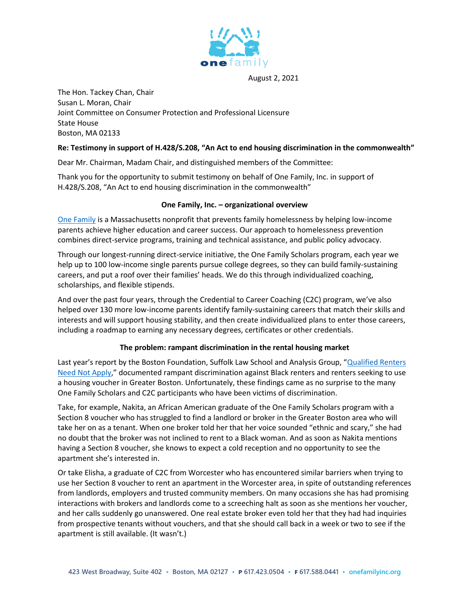

August 2, 2021

The Hon. Tackey Chan, Chair Susan L. Moran, Chair Joint Committee on Consumer Protection and Professional Licensure State House Boston, MA 02133

## **Re: Testimony in support of H.428/S.208, "An Act to end housing discrimination in the commonwealth"**

Dear Mr. Chairman, Madam Chair, and distinguished members of the Committee:

Thank you for the opportunity to submit testimony on behalf of One Family, Inc. in support of H.428/S.208, "An Act to end housing discrimination in the commonwealth"

## **One Family, Inc. – organizational overview**

[One Family](https://www.onefamilyinc.org/) is a Massachusetts nonprofit that prevents family homelessness by helping low-income parents achieve higher education and career success. Our approach to homelessness prevention combines direct-service programs, training and technical assistance, and public policy advocacy.

Through our longest-running direct-service initiative, the One Family Scholars program, each year we help up to 100 low-income single parents pursue college degrees, so they can build family-sustaining careers, and put a roof over their families' heads. We do this through individualized coaching, scholarships, and flexible stipends.

And over the past four years, through the Credential to Career Coaching (C2C) program, we've also helped over 130 more low-income parents identify family-sustaining careers that match their skills and interests and will support housing stability, and then create individualized plans to enter those careers, including a roadmap to earning any necessary degrees, certificates or other credentials.

## **The problem: rampant discrimination in the rental housing market**

Last year's report by the Boston Foundation, Suffolk Law School and Analysis Group, "[Qualified Renters](https://www.suffolk.edu/news-features/news/2020/06/27/01/03/qualified-renters-need-not-apply)  [Need Not Apply](https://www.suffolk.edu/news-features/news/2020/06/27/01/03/qualified-renters-need-not-apply)," documented rampant discrimination against Black renters and renters seeking to use a housing voucher in Greater Boston. Unfortunately, these findings came as no surprise to the many One Family Scholars and C2C participants who have been victims of discrimination.

Take, for example, Nakita, an African American graduate of the One Family Scholars program with a Section 8 voucher who has struggled to find a landlord or broker in the Greater Boston area who will take her on as a tenant. When one broker told her that her voice sounded "ethnic and scary," she had no doubt that the broker was not inclined to rent to a Black woman. And as soon as Nakita mentions having a Section 8 voucher, she knows to expect a cold reception and no opportunity to see the apartment she's interested in.

Or take Elisha, a graduate of C2C from Worcester who has encountered similar barriers when trying to use her Section 8 voucher to rent an apartment in the Worcester area, in spite of outstanding references from landlords, employers and trusted community members. On many occasions she has had promising interactions with brokers and landlords come to a screeching halt as soon as she mentions her voucher, and her calls suddenly go unanswered. One real estate broker even told her that they had had inquiries from prospective tenants without vouchers, and that she should call back in a week or two to see if the apartment is still available. (It wasn't.)